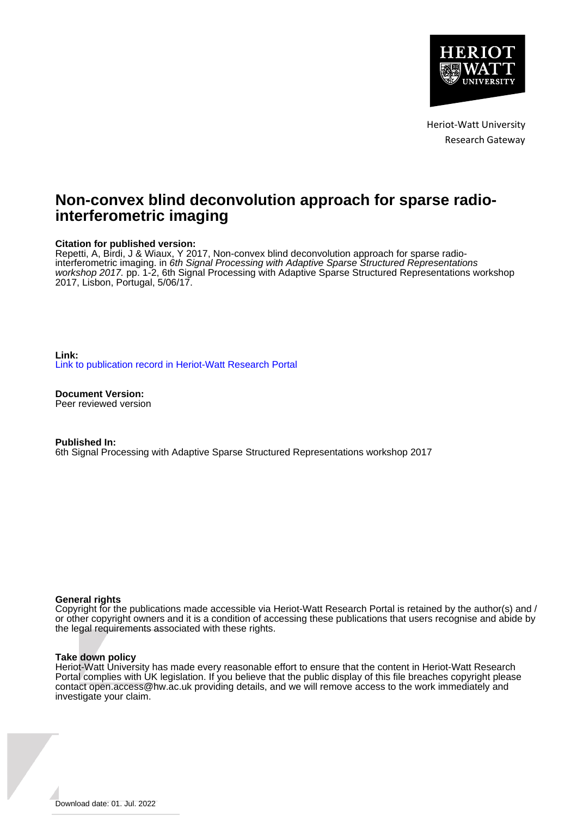

Heriot-Watt University Research Gateway

# **Non-convex blind deconvolution approach for sparse radiointerferometric imaging**

# **Citation for published version:**

Repetti, A, Birdi, J & Wiaux, Y 2017, Non-convex blind deconvolution approach for sparse radiointerferometric imaging. in 6th Signal Processing with Adaptive Sparse Structured Representations workshop 2017. pp. 1-2, 6th Signal Processing with Adaptive Sparse Structured Representations workshop 2017, Lisbon, Portugal, 5/06/17.

**Link:** [Link to publication record in Heriot-Watt Research Portal](https://researchportal.hw.ac.uk/en/publications/0556d256-54af-4889-96e3-b3ca8b77aa9e)

**Document Version:** Peer reviewed version

**Published In:** 6th Signal Processing with Adaptive Sparse Structured Representations workshop 2017

# **General rights**

Copyright for the publications made accessible via Heriot-Watt Research Portal is retained by the author(s) and / or other copyright owners and it is a condition of accessing these publications that users recognise and abide by the legal requirements associated with these rights.

# **Take down policy**

Heriot-Watt University has made every reasonable effort to ensure that the content in Heriot-Watt Research Portal complies with UK legislation. If you believe that the public display of this file breaches copyright please contact open.access@hw.ac.uk providing details, and we will remove access to the work immediately and investigate your claim.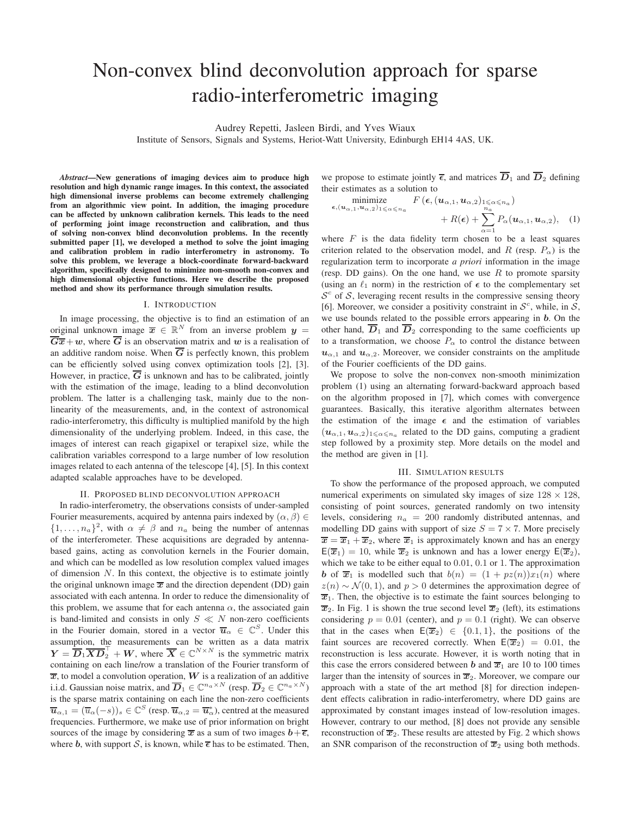# Non-convex blind deconvolution approach for sparse radio-interferometric imaging

Audrey Repetti, Jasleen Birdi, and Yves Wiaux

Institute of Sensors, Signals and Systems, Heriot-Watt University, Edinburgh EH14 4AS, UK.

*Abstract*—New generations of imaging devices aim to produce high resolution and high dynamic range images. In this context, the associated high dimensional inverse problems can become extremely challenging from an algorithmic view point. In addition, the imaging procedure can be affected by unknown calibration kernels. This leads to the need of performing joint image reconstruction and calibration, and thus of solving non-convex blind deconvolution problems. In the recently submitted paper [1], we developed a method to solve the joint imaging and calibration problem in radio interferometry in astronomy. To solve this problem, we leverage a block-coordinate forward-backward algorithm, specifically designed to minimize non-smooth non-convex and high dimensional objective functions. Here we describe the proposed method and show its performance through simulation results.

### I. INTRODUCTION

In image processing, the objective is to find an estimation of an original unknown image  $\overline{x} \in \mathbb{R}^N$  from an inverse problem  $y =$  $\overline{G}\overline{x}+w$ , where  $\overline{G}$  is an observation matrix and w is a realisation of an additive random noise. When  $\overline{G}$  is perfectly known, this problem can be efficiently solved using convex optimization tools [2], [3]. However, in practice,  $\overline{G}$  is unknown and has to be calibrated, jointly with the estimation of the image, leading to a blind deconvolution problem. The latter is a challenging task, mainly due to the nonlinearity of the measurements, and, in the context of astronomical radio-interferometry, this difficulty is multiplied manifold by the high dimensionality of the underlying problem. Indeed, in this case, the images of interest can reach gigapixel or terapixel size, while the calibration variables correspond to a large number of low resolution images related to each antenna of the telescope [4], [5]. In this context adapted scalable approaches have to be developed.

### II. PROPOSED BLIND DECONVOLUTION APPROACH

In radio-interferometry, the observations consists of under-sampled Fourier measurements, acquired by antenna pairs indexed by  $(\alpha, \beta) \in$  $\{1,\ldots,n_a\}^2$ , with  $\alpha \neq \beta$  and  $n_a$  being the number of antennas of the interferometer. These acquisitions are degraded by antennabased gains, acting as convolution kernels in the Fourier domain, and which can be modelled as low resolution complex valued images of dimension  $N$ . In this context, the objective is to estimate jointly the original unknown image  $\overline{x}$  and the direction dependent (DD) gain associated with each antenna. In order to reduce the dimensionality of this problem, we assume that for each antenna  $\alpha$ , the associated gain is band-limited and consists in only  $S \ll N$  non-zero coefficients in the Fourier domain, stored in a vector  $\overline{u}_{\alpha} \in \mathbb{C}^{S}$ . Under this assumption, the measurements can be written as a data matrix  $Y = \overline{D}_1 \overline{X} \overline{D}_2^{\top} + W$ , where  $\overline{X} \in \mathbb{C}^{N \times N}$  is the symmetric matrix containing on each line/row a translation of the Fourier transform of  $\overline{x}$ , to model a convolution operation, W is a realization of an additive i.i.d. Gaussian noise matrix, and  $\overline{D}_1 \in \mathbb{C}^{n_a \times N}$  (resp.  $\overline{D}_2 \in \mathbb{C}^{n_a \times N}$ ) is the sparse matrix containing on each line the non-zero coefficients  $\overline{\boldsymbol{u}}_{\alpha,1} = (\overline{u}_{\alpha}(-s))_s \in \mathbb{C}^S$  (resp.  $\overline{\boldsymbol{u}}_{\alpha,2} = \overline{\boldsymbol{u}}_{\alpha}^*$ ), centred at the measured frequencies. Furthermore, we make use of prior information on bright sources of the image by considering  $\overline{x}$  as a sum of two images  $b+\overline{\epsilon}$ , where b, with support S, is known, while  $\bar{\epsilon}$  has to be estimated. Then,

we propose to estimate jointly  $\overline{\epsilon}$ , and matrices  $\overline{D}_1$  and  $\overline{D}_2$  defining their estimates as a solution to

$$
\begin{array}{ll}\text{minimize} & F\left(\boldsymbol{\epsilon}, (\boldsymbol{u}_{\alpha,1}, \boldsymbol{u}_{\alpha,2})_{1 \leqslant \alpha \leqslant n_a}\right) \\ & + R(\boldsymbol{\epsilon}) + \sum_{\alpha=1}^{n_a} P_{\alpha}(\boldsymbol{u}_{\alpha,1}, \boldsymbol{u}_{\alpha,2}), \quad (1) \end{array}
$$

where  $F$  is the data fidelity term chosen to be a least squares criterion related to the observation model, and R (resp.  $P_{\alpha}$ ) is the regularization term to incorporate *a priori* information in the image (resp. DD gains). On the one hand, we use  $R$  to promote sparsity (using an  $\ell_1$  norm) in the restriction of  $\epsilon$  to the complementary set  $S<sup>c</sup>$  of S, leveraging recent results in the compressive sensing theory [6]. Moreover, we consider a positivity constraint in  $S<sup>c</sup>$ , while, in S, we use bounds related to the possible errors appearing in **. On the** other hand,  $\overline{D}_1$  and  $\overline{D}_2$  corresponding to the same coefficients up to a transformation, we choose  $P_{\alpha}$  to control the distance between  $u_{\alpha,1}$  and  $u_{\alpha,2}$ . Moreover, we consider constraints on the amplitude of the Fourier coefficients of the DD gains.

We propose to solve the non-convex non-smooth minimization problem (1) using an alternating forward-backward approach based on the algorithm proposed in [7], which comes with convergence guarantees. Basically, this iterative algorithm alternates between the estimation of the image  $\epsilon$  and the estimation of variables  $(\mathbf{u}_{\alpha,1}, \mathbf{u}_{\alpha,2})_{1\leqslant \alpha \leqslant n_a}$  related to the DD gains, computing a gradient step followed by a proximity step. More details on the model and the method are given in [1].

#### III. SIMULATION RESULTS

To show the performance of the proposed approach, we computed numerical experiments on simulated sky images of size  $128 \times 128$ , consisting of point sources, generated randomly on two intensity levels, considering  $n_a = 200$  randomly distributed antennas, and modelling DD gains with support of size  $S = 7 \times 7$ . More precisely  $\overline{x} = \overline{x}_1 + \overline{x}_2$ , where  $\overline{x}_1$  is approximately known and has an energy  $E(\overline{x}_1) = 10$ , while  $\overline{x}_2$  is unknown and has a lower energy  $E(\overline{x}_2)$ , which we take to be either equal to  $0.01$ ,  $0.1$  or 1. The approximation **b** of  $\overline{x}_1$  is modelled such that  $b(n) = (1 + pz(n))x_1(n)$  where  $z(n) \sim \mathcal{N}(0, 1)$ , and  $p > 0$  determines the approximation degree of  $\overline{x}_1$ . Then, the objective is to estimate the faint sources belonging to  $\overline{x}_2$ . In Fig. 1 is shown the true second level  $\overline{x}_2$  (left), its estimations considering  $p = 0.01$  (center), and  $p = 0.1$  (right). We can observe that in the cases when  $E(\overline{x}_2) \in \{0.1, 1\}$ , the positions of the faint sources are recovered correctly. When  $E(\overline{x}_2) = 0.01$ , the reconstruction is less accurate. However, it is worth noting that in this case the errors considered between b and  $\overline{x}_1$  are 10 to 100 times larger than the intensity of sources in  $\overline{x}_2$ . Moreover, we compare our approach with a state of the art method [8] for direction independent effects calibration in radio-interferometry, where DD gains are approximated by constant images instead of low-resolution images. However, contrary to our method, [8] does not provide any sensible reconstruction of  $\overline{x}_2$ . These results are attested by Fig. 2 which shows an SNR comparison of the reconstruction of  $\overline{x}_2$  using both methods.